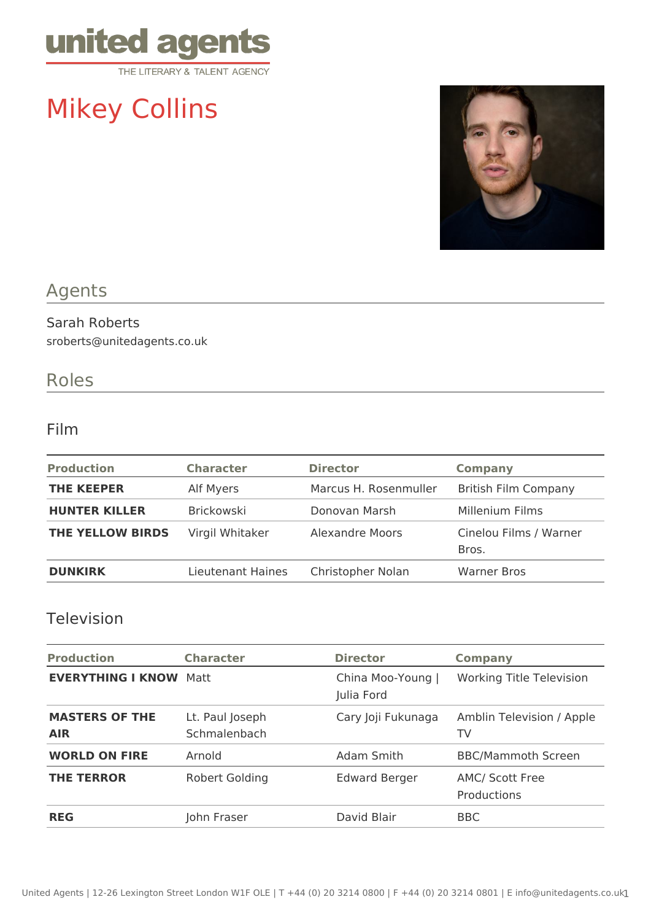

# Mikey Collins



## Agents

#### Sarah Roberts sroberts@unitedagents.co.uk

### Roles

#### Film

| <b>Production</b>       | <b>Character</b>  | <b>Director</b>        | <b>Company</b>                  |
|-------------------------|-------------------|------------------------|---------------------------------|
| <b>THE KEEPER</b>       | Alf Myers         | Marcus H. Rosenmuller  | <b>British Film Company</b>     |
| <b>HUNTER KILLER</b>    | <b>Brickowski</b> | Donovan Marsh          | Millenium Films                 |
| <b>THE YELLOW BIRDS</b> | Virgil Whitaker   | <b>Alexandre Moors</b> | Cinelou Films / Warner<br>Bros. |
| <b>DUNKIRK</b>          | Lieutenant Haines | Christopher Nolan      | <b>Warner Bros</b>              |

#### Television

| <b>Production</b>                   | <b>Character</b>                | <b>Director</b>                 | <b>Company</b>                  |
|-------------------------------------|---------------------------------|---------------------------------|---------------------------------|
| <b>EVERYTHING I KNOW</b>            | Matt                            | China Moo-Young  <br>Julia Ford | <b>Working Title Television</b> |
| <b>MASTERS OF THE</b><br><b>AIR</b> | Lt. Paul Joseph<br>Schmalenbach | Cary Joji Fukunaga              | Amblin Television / Apple<br>TV |
| <b>WORLD ON FIRE</b>                | Arnold                          | Adam Smith                      | <b>BBC/Mammoth Screen</b>       |
| <b>THE TERROR</b>                   | Robert Golding                  | <b>Edward Berger</b>            | AMC/ Scott Free<br>Productions  |
| <b>REG</b>                          | John Fraser                     | David Blair                     | <b>BBC</b>                      |